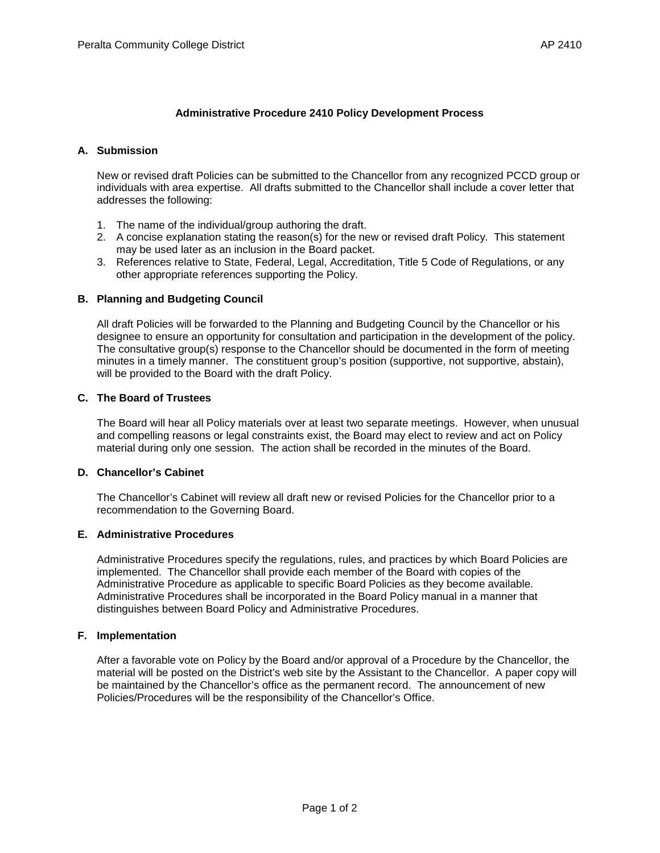# **Administrative Procedure 2410 Policy Development Process**

# **A. Submission**

New or revised draft Policies can be submitted to the Chancellor from any recognized PCCD group or individuals with area expertise. All drafts submitted to the Chancellor shall include a cover letter that addresses the following:

- 1. The name of the individual/group authoring the draft.
- 2. A concise explanation stating the reason(s) for the new or revised draft Policy. This statement may be used later as an inclusion in the Board packet.
- 3. References relative to State, Federal, Legal, Accreditation, Title 5 Code of Regulations, or any other appropriate references supporting the Policy.

## **B. Planning and Budgeting Council**

All draft Policies will be forwarded to the Planning and Budgeting Council by the Chancellor or his designee to ensure an opportunity for consultation and participation in the development of the policy. The consultative group(s) response to the Chancellor should be documented in the form of meeting minutes in a timely manner. The constituent group's position (supportive, not supportive, abstain), will be provided to the Board with the draft Policy.

## **C. The Board of Trustees**

The Board will hear all Policy materials over at least two separate meetings. However, when unusual and compelling reasons or legal constraints exist, the Board may elect to review and act on Policy material during only one session. The action shall be recorded in the minutes of the Board.

## **D. Chancellor's Cabinet**

The Chancellor's Cabinet will review all draft new or revised Policies for the Chancellor prior to a recommendation to the Governing Board.

# **E. Administrative Procedures**

Administrative Procedures specify the regulations, rules, and practices by which Board Policies are implemented. The Chancellor shall provide each member of the Board with copies of the Administrative Procedure as applicable to specific Board Policies as they become available. Administrative Procedures shall be incorporated in the Board Policy manual in a manner that distinguishes between Board Policy and Administrative Procedures.

## **F. Implementation**

After a favorable vote on Policy by the Board and/or approval of a Procedure by the Chancellor, the material will be posted on the District's web site by the Assistant to the Chancellor. A paper copy will be maintained by the Chancellor's office as the permanent record. The announcement of new Policies/Procedures will be the responsibility of the Chancellor's Office.